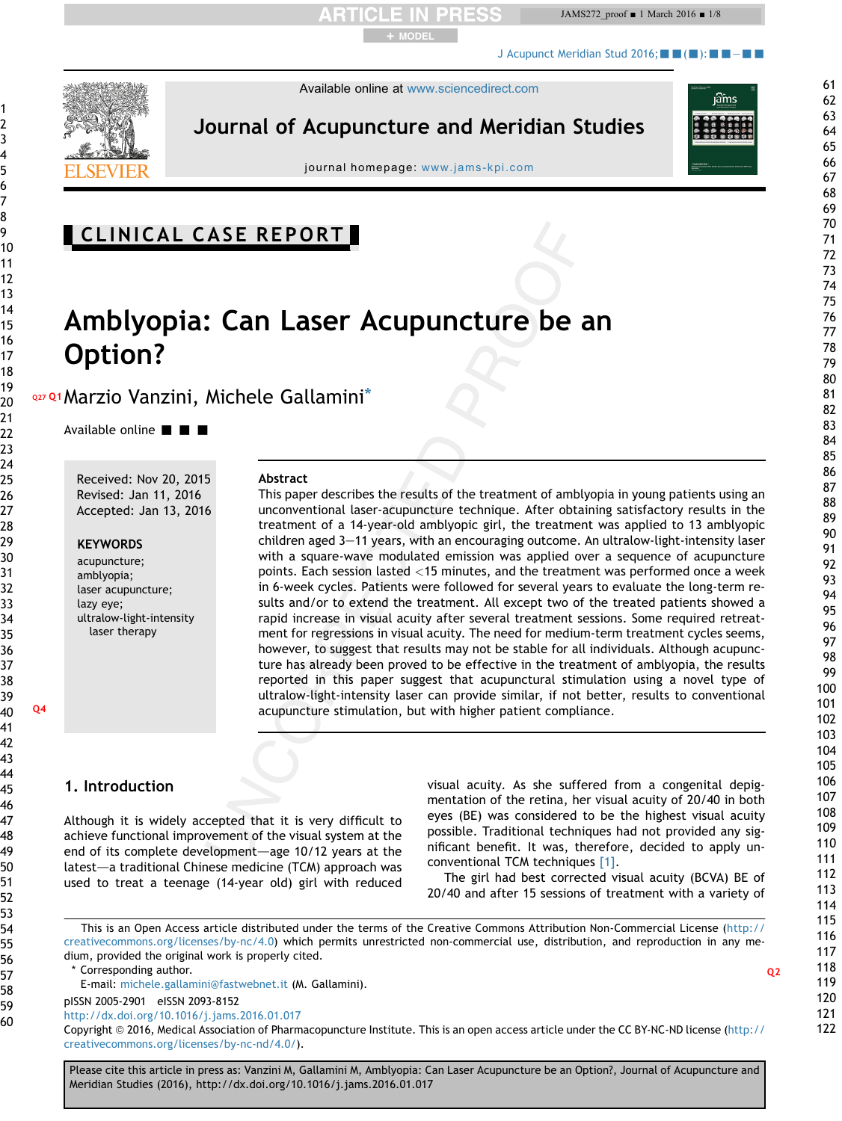JAMS272\_proof ■ 1 March 2016 ■ 1/8

[J Acupunct Meridian Stud 2016;](http://dx.doi.org/10.1016/j.jams.2016.01.017) $\blacksquare$  $\blacksquare$  ( $\blacksquare$ ): $\blacksquare$  $\blacksquare$ 



Available online at [www.sciencedirect.com](www.sciencedirect.com/science/journal/20052901)

+ MODEL

Journal of Acupuncture and Meridian Studies



journal homepage: [www.jams-kpi.com](http://www.jams-kpi.com)

# CLINICAL CASE REPORT

# Amblyopia: Can Laser Acupuncture be an Option?

Q27 Q1 Marzio Vanzini, Michele Gallamini<sup>\*</sup>

Available online  $\blacksquare$   $\blacksquare$ 

Received: Nov 20, 2015 Revised: Jan 11, 2016 Accepted: Jan 13, 2016

### **KEYWORDS**

acupuncture; amblyopia; laser acupuncture; lazy eye; ultralow-light-intensity laser therapy

### Abstract

This paper describes the results of the treatment of amblyopia in young patients using an unconventional laser-acupuncture technique. After obtaining satisfactory results in the treatment of a 14-year-old amblyopic girl, the treatment was applied to 13 amblyopic children aged 3-11 years, with an encouraging outcome. An ultralow-light-intensity laser with a square-wave modulated emission was applied over a sequence of acupuncture points. Each session lasted <15 minutes, and the treatment was performed once a week in 6-week cycles. Patients were followed for several years to evaluate the long-term results and/or to extend the treatment. All except two of the treated patients showed a rapid increase in visual acuity after several treatment sessions. Some required retreatment for regressions in visual acuity. The need for medium-term treatment cycles seems, however, to suggest that results may not be stable for all individuals. Although acupuncture has already been proved to be effective in the treatment of amblyopia, the results reported in this paper suggest that acupunctural stimulation using a novel type of ultralow-light-intensity laser can provide similar, if not better, results to conventional Q4 acupuncture stimulation, but with higher patient compliance.

## 1. Introduction

Although it is widely accepted that it is very difficult to achieve functional improvement of the visual system at the end of its complete development-age 10/12 years at the latest-a traditional Chinese medicine (TCM) approach was used to treat a teenage (14-year old) girl with reduced visual acuity. As she suffered from a congenital depigmentation of the retina, her visual acuity of 20/40 in both eyes (BE) was considered to be the highest visual acuity possible. Traditional techniques had not provided any significant benefit. It was, therefore, decided to apply unconventional TCM techniques [\[1\]](#page-6-0).

The girl had best corrected visual acuity (BCVA) BE of 20/40 and after 15 sessions of treatment with a variety of

This is an Open Access article distributed under the terms of the Creative Commons Attribution Non-Commercial License [\(http://](http://creativecommons.org/licenses/by-nc/4.0) [creativecommons.org/licenses/by-nc/4.0\)](http://creativecommons.org/licenses/by-nc/4.0) which permits unrestricted non-commercial use, distribution, and reproduction in any medium, provided the original work is properly cited.

 $\blacksquare$  Corresponding author.  $\blacksquare$ 

E-mail: [michele.gallamini@fastwebnet.it](mailto:michele.gallamini@fastwebnet.it) (M. Gallamini).

pISSN 2005-2901 eISSN 2093-8152

<http://dx.doi.org/10.1016/j.jams.2016.01.017>

Copyright © 2016, Medical Association of Pharmacopuncture Institute. This is an open access article under the CC BY-NC-ND license [\(http://](http://creativecommons.org/licenses/by-nc-nd/4.0/) [creativecommons.org/licenses/by-nc-nd/4.0/\)](http://creativecommons.org/licenses/by-nc-nd/4.0/).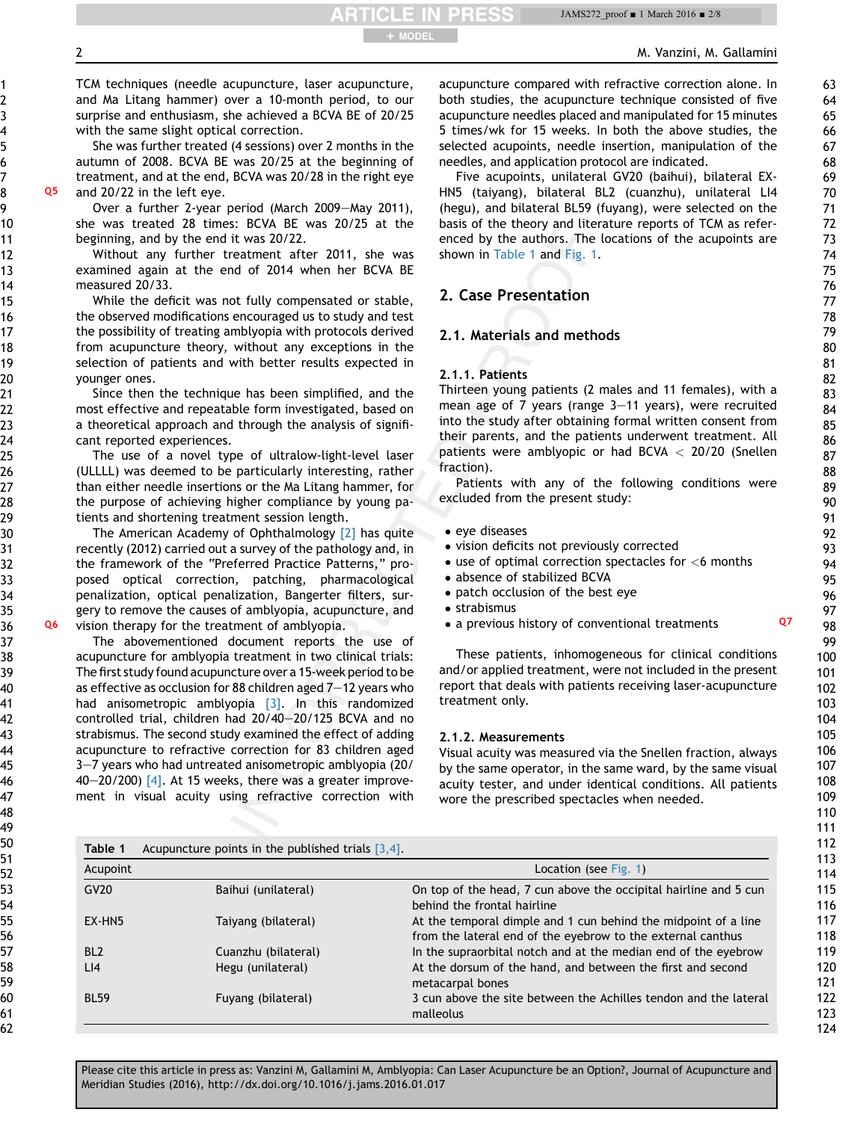JAMS272\_proof ■ 1 March 2016 ■ 2/8

2 M. Vanzini, M. Gallamini

TCM techniques (needle acupuncture, laser acupuncture, and Ma Litang hammer) over a 10-month period, to our surprise and enthusiasm, she achieved a BCVA BE of 20/25 with the same slight optical correction.

She was further treated (4 sessions) over 2 months in the autumn of 2008. BCVA BE was 20/25 at the beginning of treatment, and at the end, BCVA was 20/28 in the right eye Q5 and 20/22 in the left eye.

Over a further 2-year period (March 2009-May 2011), she was treated 28 times: BCVA BE was 20/25 at the beginning, and by the end it was 20/22.

Without any further treatment after 2011, she was examined again at the end of 2014 when her BCVA BE measured 20/33.

While the deficit was not fully compensated or stable, the observed modifications encouraged us to study and test the possibility of treating amblyopia with protocols derived from acupuncture theory, without any exceptions in the selection of patients and with better results expected in younger ones.

Since then the technique has been simplified, and the most effective and repeatable form investigated, based on a theoretical approach and through the analysis of significant reported experiences.

The use of a novel type of ultralow-light-level laser (ULLLL) was deemed to be particularly interesting, rather than either needle insertions or the Ma Litang hammer, for the purpose of achieving higher compliance by young patients and shortening treatment session length.

The American Academy of Ophthalmology [\[2\]](#page-6-0) has quite recently (2012) carried out a survey of the pathology and, in the framework of the "Preferred Practice Patterns," proposed optical correction, patching, pharmacological penalization, optical penalization, Bangerter filters, surgery to remove the causes of amblyopia, acupuncture, and Q6 vision therapy for the treatment of amblyopia.

The abovementioned document reports the use of acupuncture for amblyopia treatment in two clinical trials: The first study found acupuncture over a 15-week period to be as effective as occlusion for 88 children aged  $7-12$  years who had anisometropic amblyopia [\[3\].](#page-6-0) In this randomized controlled trial, children had 20/40-20/125 BCVA and no strabismus. The second study examined the effect of adding acupuncture to refractive correction for 83 children aged 3–7 years who had untreated anisometropic amblyopia (20/ 40-20/200)  $\overline{4}$ . At 15 weeks, there was a greater improvement in visual acuity using refractive correction with acupuncture compared with refractive correction alone. In both studies, the acupuncture technique consisted of five acupuncture needles placed and manipulated for 15 minutes 5 times/wk for 15 weeks. In both the above studies, the selected acupoints, needle insertion, manipulation of the needles, and application protocol are indicated.

Five acupoints, unilateral GV20 (baihui), bilateral EX-HN5 (taiyang), bilateral BL2 (cuanzhu), unilateral LI4 (hegu), and bilateral BL59 (fuyang), were selected on the basis of the theory and literature reports of TCM as referenced by the authors. The locations of the acupoints are shown in Table 1 and [Fig. 1.](#page-2-0)

## 2. Case Presentation

### 2.1. Materials and methods

### 2.1.1. Patients

+ MODEL

Thirteen young patients (2 males and 11 females), with a mean age of  $7$  years (range  $3-11$  years), were recruited into the study after obtaining formal written consent from their parents, and the patients underwent treatment. All patients were amblyopic or had BCVA  $<$  20/20 (Snellen fraction).

Patients with any of the following conditions were excluded from the present study:

- eve diseases
- vision deficits not previously corrected
- $\bullet$  use of optimal correction spectacles for  $<$  6 months
- absence of stabilized BCVA
- patch occlusion of the best eye
- **•** strabismus
- a previous history of conventional treatments Q7

These patients, inhomogeneous for clinical conditions and/or applied treatment, were not included in the present report that deals with patients receiving laser-acupuncture treatment only.

### 2.1.2. Measurements

Visual acuity was measured via the Snellen fraction, always by the same operator, in the same ward, by the same visual acuity tester, and under identical conditions. All patients wore the prescribed spectacles when needed.

| Table 1         | Acupuncture points in the published trials $[3,4]$ . |                                                                                                                               |
|-----------------|------------------------------------------------------|-------------------------------------------------------------------------------------------------------------------------------|
| Acupoint        |                                                      | Location (see Fig. 1)                                                                                                         |
| GV20            | Baihui (unilateral)                                  | On top of the head, 7 cun above the occipital hairline and 5 cun<br>behind the frontal hairline                               |
| EX-HN5          | Taiyang (bilateral)                                  | At the temporal dimple and 1 cun behind the midpoint of a line<br>from the lateral end of the eyebrow to the external canthus |
| BL <sub>2</sub> | Cuanzhu (bilateral)                                  | In the supraorbital notch and at the median end of the eyebrow                                                                |
| LI4             | Hegu (unilateral)                                    | At the dorsum of the hand, and between the first and second<br>metacarpal bones                                               |
| <b>BL59</b>     | Fuyang (bilateral)                                   | 3 cun above the site between the Achilles tendon and the lateral<br>malleolus                                                 |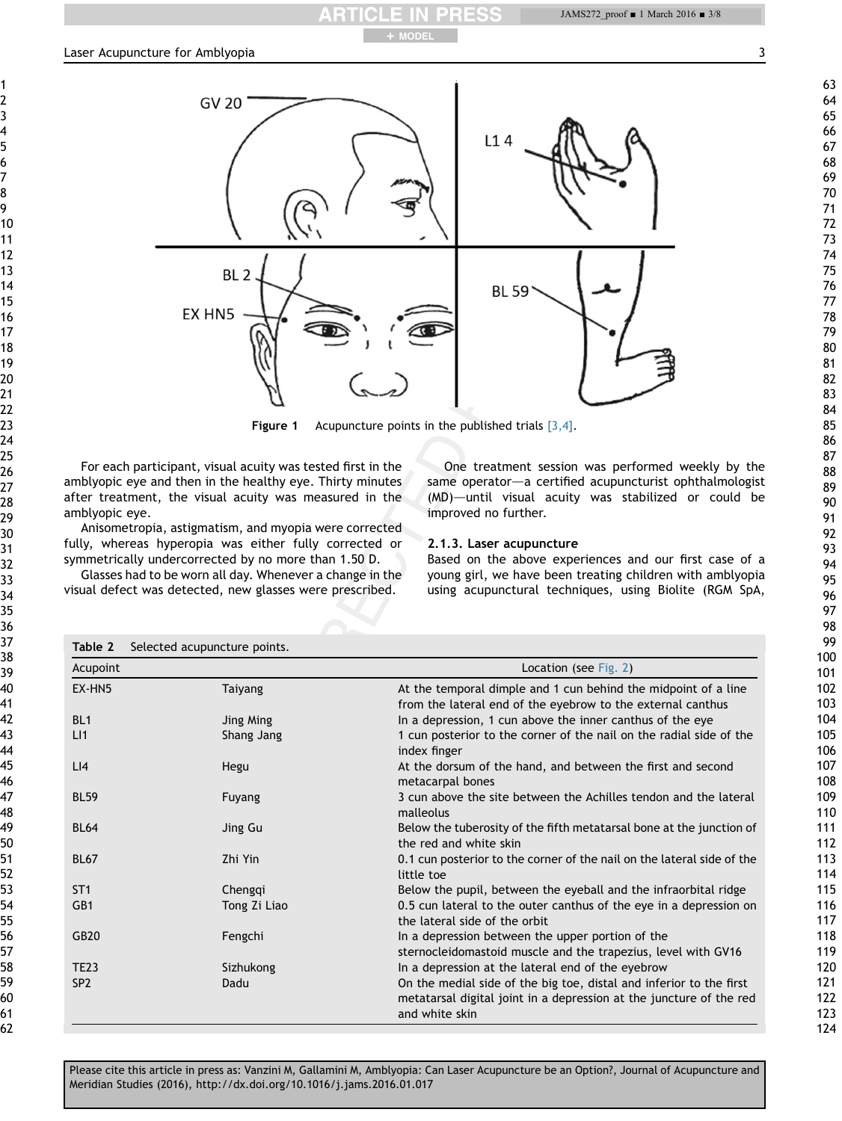<span id="page-2-0"></span>

+ MODEL

**Figure 1** Acupuncture points in the published trials  $[3,4]$ .

For each participant, visual acuity was tested first in the amblyopic eye and then in the healthy eye. Thirty minutes after treatment, the visual acuity was measured in the amblyopic eye.

Anisometropia, astigmatism, and myopia were corrected fully, whereas hyperopia was either fully corrected or symmetrically undercorrected by no more than 1.50 D.

Glasses had to be worn all day. Whenever a change in the visual defect was detected, new glasses were prescribed.

One treatment session was performed weekly by the same operator-a certified acupuncturist ophthalmologist  $(MD)$ —until visual acuity was stabilized or could be improved no further.

### 2.1.3. Laser acupuncture

Based on the above experiences and our first case of a young girl, we have been treating children with amblyopia using acupunctural techniques, using Biolite (RGM SpA,

| Acupoint        |              | Location (see Fig. 2)                                                                                                                                        |
|-----------------|--------------|--------------------------------------------------------------------------------------------------------------------------------------------------------------|
| EX-HN5          | Taiyang      | At the temporal dimple and 1 cun behind the midpoint of a line<br>from the lateral end of the eyebrow to the external canthus                                |
| BL <sub>1</sub> | Jing Ming    | In a depression, 1 cun above the inner canthus of the eye                                                                                                    |
| LI              | Shang Jang   | 1 cun posterior to the corner of the nail on the radial side of the<br>index finger                                                                          |
| LI4             | Hegu         | At the dorsum of the hand, and between the first and second<br>metacarpal bones                                                                              |
| <b>BL59</b>     | Fuyang       | 3 cun above the site between the Achilles tendon and the lateral<br>malleolus                                                                                |
| <b>BL64</b>     | Jing Gu      | Below the tuberosity of the fifth metatarsal bone at the junction of<br>the red and white skin                                                               |
| <b>BL67</b>     | Zhi Yin      | 0.1 cun posterior to the corner of the nail on the lateral side of the<br>little toe                                                                         |
| ST <sub>1</sub> | Chenggi      | Below the pupil, between the eyeball and the infraorbital ridge                                                                                              |
| GB1             | Tong Zi Liao | 0.5 cun lateral to the outer canthus of the eye in a depression on<br>the lateral side of the orbit                                                          |
| GB20            | Fengchi      | In a depression between the upper portion of the<br>sternocleidomastoid muscle and the trapezius, level with GV16                                            |
| <b>TE23</b>     | Sizhukong    | In a depression at the lateral end of the eyebrow                                                                                                            |
| SP <sub>2</sub> | Dadu         | On the medial side of the big toe, distal and inferior to the first<br>metatarsal digital joint in a depression at the juncture of the red<br>and white skin |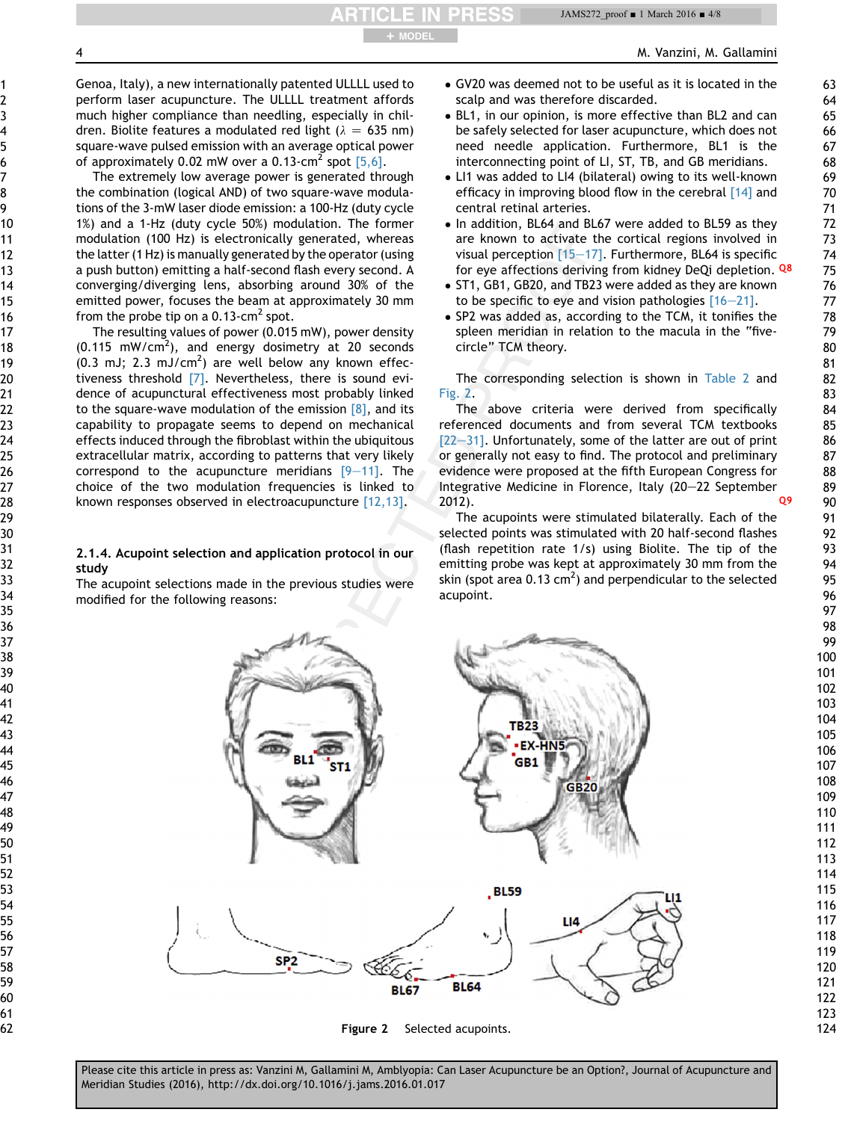<span id="page-3-0"></span>Genoa, Italy), a new internationally patented ULLLL used to perform laser acupuncture. The ULLLL treatment affords much higher compliance than needling, especially in children. Biolite features a modulated red light  $(\lambda = 635 \text{ nm})$ square-wave pulsed emission with an average optical power of approximately 0.02 mW over a 0.13-cm<sup>2</sup> spot  $[5,6]$ .

The extremely low average power is generated through the combination (logical AND) of two square-wave modulations of the 3-mW laser diode emission: a 100-Hz (duty cycle 1%) and a 1-Hz (duty cycle 50%) modulation. The former modulation (100 Hz) is electronically generated, whereas the latter (1 Hz) is manually generated by the operator (using a push button) emitting a half-second flash every second. A converging/diverging lens, absorbing around 30% of the emitted power, focuses the beam at approximately 30 mm from the probe tip on a  $0.13$ -cm<sup>2</sup> spot.

The resulting values of power (0.015 mW), power density  $(0.115 \text{ mW/cm}^2)$ , and energy dosimetry at 20 seconds  $(0.3 \text{ mJ}; 2.3 \text{ mJ/cm}^2)$  are well below any known effectiveness threshold [\[7\].](#page-6-0) Nevertheless, there is sound evidence of acupunctural effectiveness most probably linked to the square-wave modulation of the emission  $\lceil 8 \rceil$ , and its capability to propagate seems to depend on mechanical effects induced through the fibroblast within the ubiquitous extracellular matrix, according to patterns that very likely correspond to the acupuncture meridians  $[9-11]$  $[9-11]$  $[9-11]$ . The choice of the two modulation frequencies is linked to known responses observed in electroacupuncture [\[12,13\].](#page-6-0)

### 2.1.4. Acupoint selection and application protocol in our study

The acupoint selections made in the previous studies were modified for the following reasons:

- GV20 was deemed not to be useful as it is located in the scalp and was therefore discarded.
- BL1, in our opinion, is more effective than BL2 and can be safely selected for laser acupuncture, which does not need needle application. Furthermore, BL1 is the interconnecting point of LI, ST, TB, and GB meridians.
- LI1 was added to LI4 (bilateral) owing to its well-known efficacy in improving blood flow in the cerebral [\[14\]](#page-6-0) and central retinal arteries.
- In addition, BL64 and BL67 were added to BL59 as they are known to activate the cortical regions involved in visual perception  $[15-17]$  $[15-17]$  $[15-17]$ . Furthermore, BL64 is specific for eye affections deriving from kidney DeQi depletion. Q8
- ST1, GB1, GB20, and TB23 were added as they are known to be specific to eye and vision pathologies  $[16-21]$  $[16-21]$ .
- SP2 was added as, according to the TCM, it tonifies the spleen meridian in relation to the macula in the "fivecircle" TCM theory.

The corresponding selection is shown in [Table 2](#page-2-0) and Fig. 2.

The above criteria were derived from specifically referenced documents and from several TCM textbooks  $[22-31]$  $[22-31]$ . Unfortunately, some of the latter are out of print or generally not easy to find. The protocol and preliminary evidence were proposed at the fifth European Congress for Integrative Medicine in Florence, Italy (20-22 September 2012). Q9

The acupoints were stimulated bilaterally. Each of the selected points was stimulated with 20 half-second flashes (flash repetition rate 1/s) using Biolite. The tip of the emitting probe was kept at approximately 30 mm from the skin (spot area 0.13 cm<sup>2</sup>) and perpendicular to the selected acupoint.



Figure 2 Selected acupoints.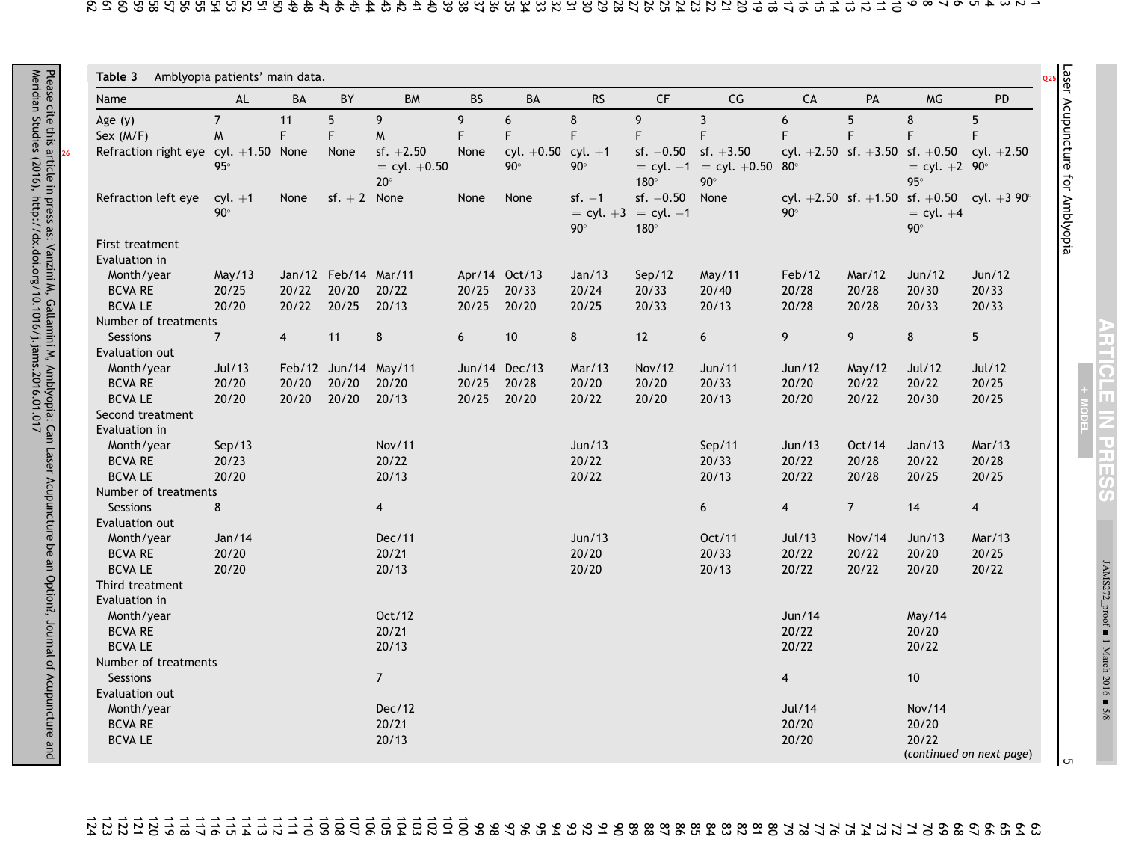Laser Acupuncture for Amblyopia

Laser Acupuncture for Amblyopia

 $+$ **MODEL** 

**ARTICLE IN PRESS** 

JAMS272\_proof

■

1 March 2016

■ 5/8

**ហ** 

<span id="page-4-0"></span>

| Name                                   | AL                      | BA             | BY                   | <b>BM</b>                                     | <b>BS</b>   | BA                                   | <b>RS</b>              | $\mathsf{C}\mathsf{F}$                                  | CG                                             | CA               | PA             | <b>MG</b>                                                                                    | <b>PD</b>      |
|----------------------------------------|-------------------------|----------------|----------------------|-----------------------------------------------|-------------|--------------------------------------|------------------------|---------------------------------------------------------|------------------------------------------------|------------------|----------------|----------------------------------------------------------------------------------------------|----------------|
| Age $(y)$                              | $\overline{7}$          | 11             | 5                    | 9                                             | 9           | 6                                    | $\bf 8$                | 9                                                       | $\mathbf{3}$                                   | $\boldsymbol{6}$ | 5              | 8                                                                                            | 5              |
| Sex $(M/F)$                            | M                       | F.             | F                    | W                                             | $\mathsf F$ | F                                    | $\mathsf F$            | F                                                       | $\mathsf F$                                    | F                | F              | F                                                                                            | F              |
| Refraction right eye cyl. $+1.50$ None | $95^\circ$              |                | None                 | $sf. +2.50$<br>$=$ cyl. $+0.50$<br>$20^\circ$ | None        | cyl. $+0.50$ cyl. $+1$<br>$90^\circ$ | $90^\circ$             | $sf. -0.50$ sf. $+3.50$<br>$180^\circ$                  | $=$ cyl. $-1$ = cyl. $+0.50$ 80°<br>$90^\circ$ |                  |                | cyl. $+2.50$ sf. $+3.50$ sf. $+0.50$ cyl. $+2.50$<br>$=$ cyl. +2 90 $^{\circ}$<br>$95^\circ$ |                |
| Refraction left eye                    | $cyl. +1$<br>$90^\circ$ | None           | $sf. + 2$ None       |                                               | None        | None                                 | $sf. -1$<br>$90^\circ$ | $sf. -0.50$<br>$=$ cyl. $+3$ = cyl. $-1$<br>$180^\circ$ | None                                           | $90^\circ$       |                | cyl. +2.50 sf. +1.50 sf. +0.50 cyl. +3 90°<br>$=$ cyl. $+4$<br>$90^\circ$                    |                |
| First treatment                        |                         |                |                      |                                               |             |                                      |                        |                                                         |                                                |                  |                |                                                                                              |                |
| Evaluation in                          |                         |                |                      |                                               |             |                                      |                        |                                                         |                                                |                  |                |                                                                                              |                |
| Month/year                             | May/13                  |                | Jan/12 Feb/14 Mar/11 |                                               |             | Apr/14 Oct/13                        | Jan/13                 | Sep/12                                                  | May/11                                         | Feb/12           | Mar/12         | Jun/12                                                                                       | Jun/12         |
| <b>BCVA RE</b>                         | 20/25                   | 20/22          | 20/20                | 20/22                                         | 20/25       | 20/33                                | 20/24                  | 20/33                                                   | 20/40                                          | 20/28            | 20/28          | 20/30                                                                                        | 20/33          |
| <b>BCVALE</b>                          | 20/20                   | 20/22          | 20/25                | 20/13                                         | 20/25       | 20/20                                | 20/25                  | 20/33                                                   | 20/13                                          | 20/28            | 20/28          | 20/33                                                                                        | 20/33          |
| Number of treatments                   |                         |                |                      |                                               |             |                                      |                        |                                                         |                                                |                  |                |                                                                                              |                |
| Sessions                               | 7 <sup>7</sup>          | $\overline{4}$ | 11                   | 8                                             | 6           | $10$                                 | 8                      | 12                                                      | $\boldsymbol{6}$                               | 9                | 9              | 8                                                                                            | 5 <sup>5</sup> |
| Evaluation out                         |                         |                |                      |                                               |             |                                      |                        |                                                         |                                                |                  |                |                                                                                              |                |
| Month/year                             | Jul/13                  |                | Feb/12 Jun/14 May/11 |                                               |             | Jun/14 Dec/13                        | Mar/13                 | Nov/12                                                  | Jun/11                                         | Jun/12           | May/12         | Jul/12                                                                                       | Jul/12         |
| <b>BCVA RE</b>                         | 20/20                   | 20/20          | 20/20                | 20/20                                         | 20/25       | 20/28                                | 20/20                  | 20/20                                                   | 20/33                                          | 20/20            | 20/22          | 20/22                                                                                        | 20/25          |
| <b>BCVALE</b>                          | 20/20                   | 20/20          | 20/20                | 20/13                                         | 20/25       | 20/20                                | 20/22                  | 20/20                                                   | 20/13                                          | 20/20            | 20/22          | 20/30                                                                                        | 20/25          |
| Second treatment                       |                         |                |                      |                                               |             |                                      |                        |                                                         |                                                |                  |                |                                                                                              |                |
| Evaluation in                          |                         |                |                      |                                               |             |                                      |                        |                                                         |                                                |                  |                |                                                                                              |                |
| Month/year                             | Sep/13                  |                |                      | Nov/11                                        |             |                                      | Jun/13                 |                                                         | Sep/11                                         | Jun/13           | Oct/14         | Jan/13                                                                                       | Mar/13         |
| <b>BCVA RE</b>                         | 20/23                   |                |                      | 20/22                                         |             |                                      | 20/22                  |                                                         | 20/33                                          | 20/22            | 20/28          | 20/22                                                                                        | 20/28          |
| <b>BCVALE</b>                          | 20/20                   |                |                      | 20/13                                         |             |                                      | 20/22                  |                                                         | 20/13                                          | 20/22            | 20/28          | 20/25                                                                                        | 20/25          |
| Number of treatments                   |                         |                |                      |                                               |             |                                      |                        |                                                         |                                                |                  |                |                                                                                              |                |
| <b>Sessions</b>                        | 8                       |                |                      | $\overline{4}$                                |             |                                      |                        |                                                         | 6                                              | $\overline{4}$   | $\overline{7}$ | 14                                                                                           | $\overline{4}$ |
| Evaluation out                         |                         |                |                      |                                               |             |                                      |                        |                                                         |                                                |                  |                |                                                                                              |                |
| Month/year                             | Jan/14                  |                |                      | Dec/11                                        |             |                                      | Jun/13                 |                                                         | Oct/11                                         | Jul/13           | Nov/14         | Jun/13                                                                                       | Mar/13         |
| <b>BCVA RE</b>                         | 20/20                   |                |                      | 20/21                                         |             |                                      | 20/20                  |                                                         | 20/33                                          | 20/22            | 20/22          | 20/20                                                                                        | 20/25          |
| <b>BCVALE</b>                          | 20/20                   |                |                      | 20/13                                         |             |                                      | 20/20                  |                                                         | 20/13                                          | 20/22            | 20/22          | 20/20                                                                                        | 20/22          |
| Third treatment                        |                         |                |                      |                                               |             |                                      |                        |                                                         |                                                |                  |                |                                                                                              |                |
| Evaluation in                          |                         |                |                      |                                               |             |                                      |                        |                                                         |                                                |                  |                |                                                                                              |                |
| Month/year                             |                         |                |                      | Oct/12                                        |             |                                      |                        |                                                         |                                                | Jun/14           |                | May/14                                                                                       |                |
| <b>BCVA RE</b>                         |                         |                |                      | 20/21                                         |             |                                      |                        |                                                         |                                                | 20/22            |                | 20/20                                                                                        |                |
| <b>BCVALE</b>                          |                         |                |                      | 20/13                                         |             |                                      |                        |                                                         |                                                | 20/22            |                | 20/22                                                                                        |                |
| Number of treatments                   |                         |                |                      |                                               |             |                                      |                        |                                                         |                                                |                  |                |                                                                                              |                |
| Sessions                               |                         |                |                      | $\overline{7}$                                |             |                                      |                        |                                                         |                                                | $\overline{4}$   |                | 10                                                                                           |                |
| Evaluation out                         |                         |                |                      |                                               |             |                                      |                        |                                                         |                                                |                  |                |                                                                                              |                |
| Month/year                             |                         |                |                      | Dec/12                                        |             |                                      |                        |                                                         |                                                | Jul/14           |                | <b>Nov/14</b>                                                                                |                |
| <b>BCVA RE</b>                         |                         |                |                      | 20/21                                         |             |                                      |                        |                                                         |                                                | 20/20            |                | 20/20                                                                                        |                |
| <b>BCVALE</b>                          |                         |                |                      | 20/13                                         |             |                                      |                        |                                                         |                                                | 20/20            |                | 20/22<br>(continued on next page)                                                            |                |

99 98 97 96 95 94 93 92 91 90 89 88 87 86 85 84 83 82 81 80 79 78 77 76 75 74 73 72 71 70 69 68 67 66 65 64 63 124 123 122 121 120 119 118 117 116 115 114 113 112 111 110 109 108 107 106 105 104 103 102 101 100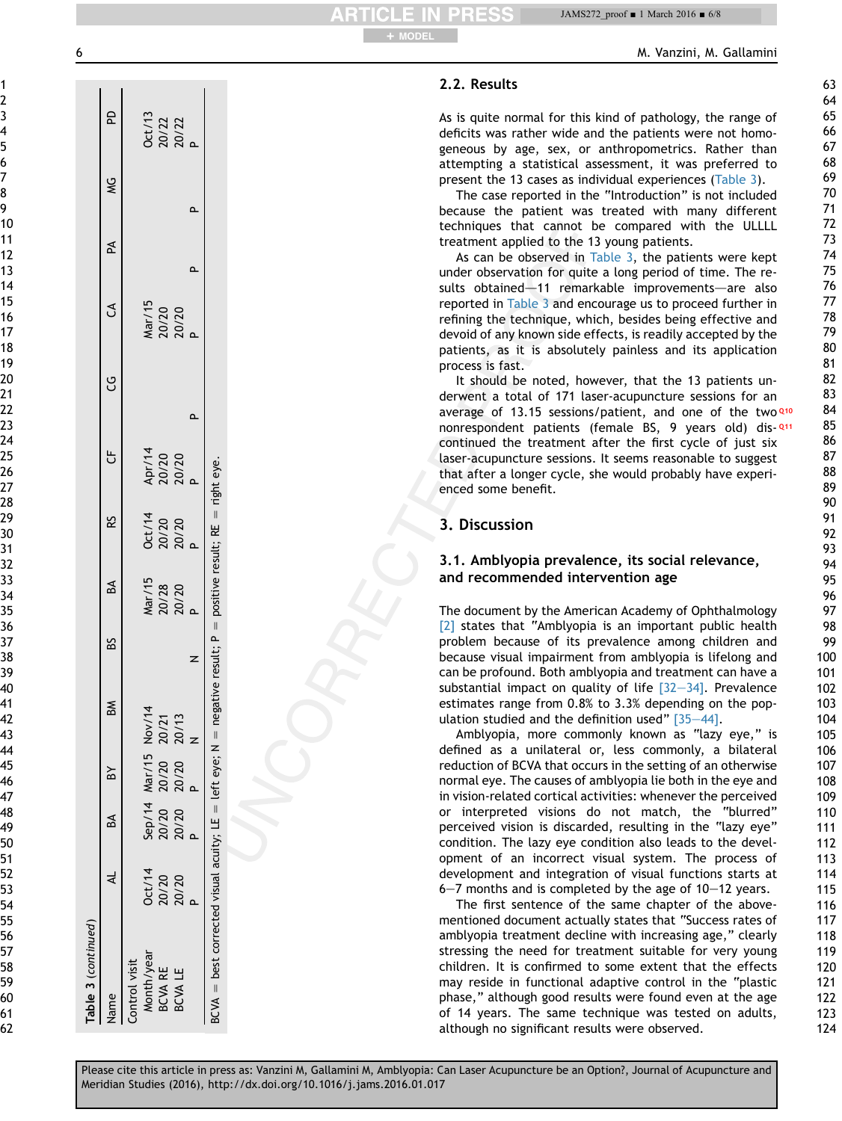| 1                       |                         |
|-------------------------|-------------------------|
| ,                       |                         |
| ξ                       |                         |
| 4                       |                         |
|                         |                         |
| I                       |                         |
|                         |                         |
| $\mathbf{S}$            |                         |
| )                       |                         |
|                         | 10                      |
|                         | 11                      |
| 1                       |                         |
| 1                       | ļ                       |
|                         |                         |
|                         | 14                      |
|                         | 15                      |
|                         | 16<br>17                |
|                         |                         |
|                         | 18                      |
| 19                      | 9                       |
|                         | 20                      |
| $\overline{c}$          | 1                       |
| 2                       | $\overline{c}$          |
| $\overline{\mathbf{r}}$ | 3                       |
|                         | $\overline{4}$          |
|                         | 25                      |
|                         | $\epsilon$              |
|                         | $^{27}$                 |
|                         | 28                      |
|                         | 29                      |
|                         | 30                      |
|                         |                         |
|                         | $\overline{\mathbf{3}}$ |
| S.                      | 2                       |
| $\overline{\mathbf{3}}$ | 3                       |
| }.                      | 4                       |
|                         | 35                      |
| 36                      |                         |
|                         | $\frac{1}{2}$           |
| $\frac{3}{5}$           | S                       |
|                         | .<br>39                 |
|                         | 40                      |
|                         | 41                      |
|                         | L                       |
| 4                       | ļ                       |
| l                       | 4                       |
|                         | ļĒ                      |
|                         | $\mathbf{16}$           |
|                         |                         |
|                         |                         |
| ļ,                      |                         |
| ļC                      | J                       |
| C                       | i۵                      |
| D<br>j                  | $\mathbf i$             |
| 5                       | 2                       |
| 5:                      | l                       |
| 54                      |                         |
| ׇ֚֘֝֡                   | 5E                      |
| 56                      |                         |
| 5                       |                         |
|                         | 58                      |
| ľ                       |                         |
|                         | οО                      |
|                         |                         |

 

| Table 3 (continued)                                                                                           |                          |                                                                |   |              |        |                               |                               |                               |        |                               |    |               |                               |
|---------------------------------------------------------------------------------------------------------------|--------------------------|----------------------------------------------------------------|---|--------------|--------|-------------------------------|-------------------------------|-------------------------------|--------|-------------------------------|----|---------------|-------------------------------|
| Vame                                                                                                          |                          | BA                                                             | ð | $\mathbb{R}$ | ន<br>ខ | BA<br>BA                      | <b>23</b>                     | ڻ<br>ت                        | ්<br>ප | J                             | PA | $\frac{1}{2}$ | 2                             |
| Control visit                                                                                                 |                          |                                                                |   |              |        |                               |                               |                               |        |                               |    |               |                               |
| Month/year                                                                                                    |                          |                                                                |   |              |        |                               |                               |                               |        |                               |    |               |                               |
| BCVA RE                                                                                                       | Oct/14<br>20/20<br>20/20 |                                                                |   |              |        |                               |                               |                               |        |                               |    |               |                               |
| BCVA LE                                                                                                       |                          | Sep/14 Mar/15 Nov/14<br>20/20 20/20 20/21<br>20/20 20/20 20/13 |   |              |        | Mar/15<br>20/28<br>20/20<br>P | Oct/14<br>20/20<br>20/20<br>P | Apr/14<br>20/20<br>20/20<br>P |        | Mar/15<br>20/20<br>20/20<br>P |    |               | Oct/13<br>20/22<br>20/22<br>P |
|                                                                                                               |                          |                                                                |   |              |        |                               |                               |                               |        |                               |    |               |                               |
| BCVA = best corrected visual acuity; LE = left eye; N = negative result; P = positive result; RE = right eye. |                          |                                                                |   |              |        |                               |                               |                               |        |                               |    |               |                               |
|                                                                                                               |                          |                                                                |   |              |        |                               |                               |                               |        |                               |    |               |                               |

# + MODEL

# 2.2. Results

As is quite normal for this kind of pathology, the range of deficits was rather wide and the patients were not homogeneous by age, sex, or anthropometrics. Rather than attempting a statistical assessment, it was preferred to present the 13 cases as individual experiences ([Table 3\)](#page-4-0).

The case reported in the "Introduction" is not included because the patient was treated with many different techniques that cannot be compared with the ULLLL treatment applied to the 13 young patients.

As can be observed in [Table 3,](#page-4-0) the patients were kept under observation for quite a long period of time. The results obtained-11 remarkable improvements-are also reported in [Table 3](#page-4-0) and encourage us to proceed further in refining the technique, which, besides being effective and devoid of any known side effects, is readily accepted by the patients, as it is absolutely painless and its application process is fast.

It should be noted, however, that the 13 patients underwent a total of 171 laser-acupuncture sessions for an average of 13.15 sessions/patient, and one of the two  $Q10$ nonrespondent patients (female BS, 9 years old) dis- 211 continued the treatment after the first cycle of just six laser-acupuncture sessions. It seems reasonable to suggest that after a longer cycle, she would probably have experienced some benefit.

# 3. Discussion

### 3.1. Amblyopia prevalence, its social relevance, and recommended intervention age

The document by the American Academy of Ophthalmology [\[2\]](#page-6-0) states that "Amblyopia is an important public health problem because of its prevalence among children and because visual impairment from amblyopia is lifelong and can be profound. Both amblyopia and treatment can have a substantial impact on quality of life  $[32-34]$  $[32-34]$  $[32-34]$ . Prevalence estimates range from 0.8% to 3.3% depending on the population studied and the definition used"  $[35-44]$  $[35-44]$ .

Amblyopia, more commonly known as "lazy eye," is defined as a unilateral or, less commonly, a bilateral reduction of BCVA that occurs in the setting of an otherwise normal eye. The causes of amblyopia lie both in the eye and in vision-related cortical activities: whenever the perceived or interpreted visions do not match, the "blurred" perceived vision is discarded, resulting in the "lazy eye" condition. The lazy eye condition also leads to the development of an incorrect visual system. The process of development and integration of visual functions starts at  $6-7$  months and is completed by the age of  $10-12$  years.

The first sentence of the same chapter of the abovementioned document actually states that "Success rates of amblyopia treatment decline with increasing age," clearly stressing the need for treatment suitable for very young children. It is confirmed to some extent that the effects may reside in functional adaptive control in the "plastic phase," although good results were found even at the age of 14 years. The same technique was tested on adults, although no significant results were observed.

Please cite this article in press as: Vanzini M, Gallamini M, Amblyopia: Can Laser Acupuncture be an Option?, Journal of Acupuncture and Meridian Studies (2016), http://dx.doi.org/10.1016/j.jams.2016.01.017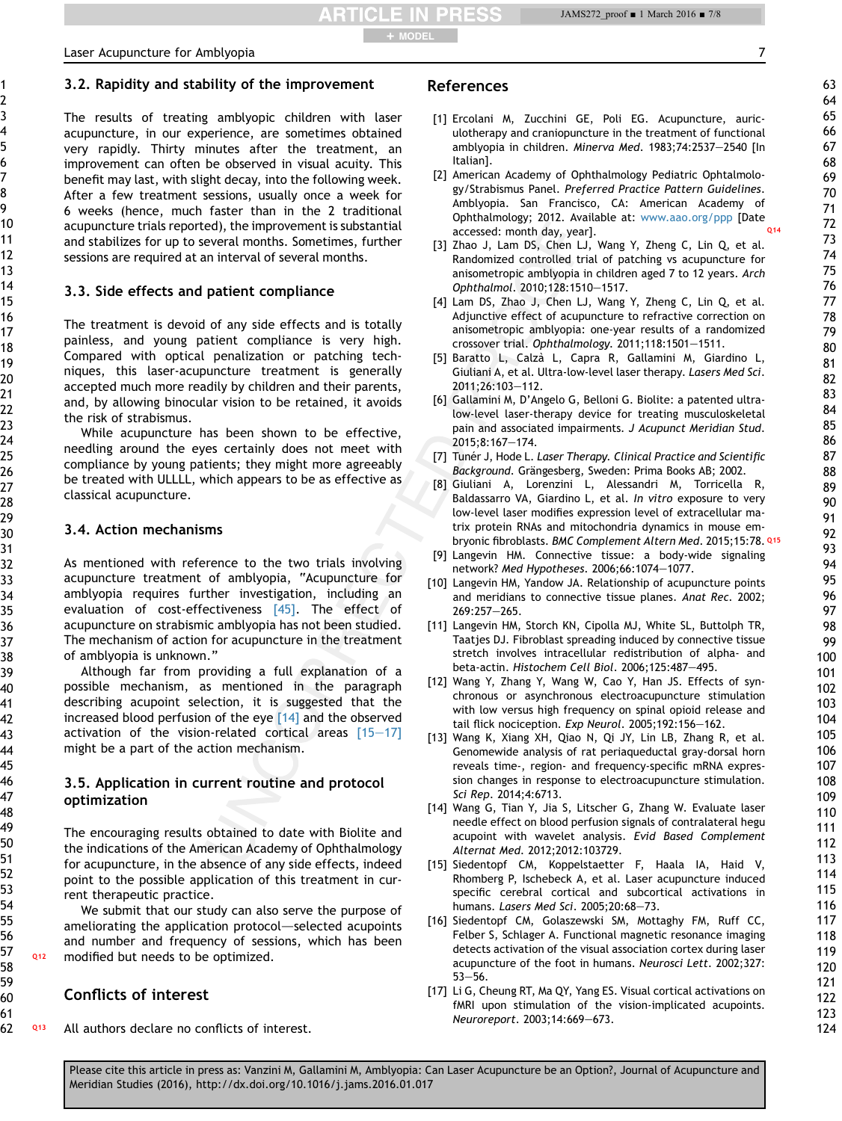**RTICLE IN PRESS** + MODEL

### <span id="page-6-0"></span>3.2. Rapidity and stability of the improvement

The results of treating amblyopic children with laser acupuncture, in our experience, are sometimes obtained very rapidly. Thirty minutes after the treatment, an improvement can often be observed in visual acuity. This benefit may last, with slight decay, into the following week. After a few treatment sessions, usually once a week for 6 weeks (hence, much faster than in the 2 traditional acupuncture trials reported), the improvement is substantial and stabilizes for up to several months. Sometimes, further sessions are required at an interval of several months.

### 3.3. Side effects and patient compliance

The treatment is devoid of any side effects and is totally painless, and young patient compliance is very high. Compared with optical penalization or patching techniques, this laser-acupuncture treatment is generally accepted much more readily by children and their parents, and, by allowing binocular vision to be retained, it avoids the risk of strabismus.

While acupuncture has been shown to be effective, needling around the eyes certainly does not meet with compliance by young patients; they might more agreeably be treated with ULLLL, which appears to be as effective as classical acupuncture.

### 3.4. Action mechanisms

As mentioned with reference to the two trials involving acupuncture treatment of amblyopia, "Acupuncture for amblyopia requires further investigation, including an evaluation of cost-effectiveness [\[45\]](#page-7-0). The effect of acupuncture on strabismic amblyopia has not been studied. The mechanism of action for acupuncture in the treatment of amblyopia is unknown."

Although far from providing a full explanation of a possible mechanism, as mentioned in the paragraph describing acupoint selection, it is suggested that the increased blood perfusion of the eye [14] and the observed activation of the vision-related cortical areas  $[15-17]$ might be a part of the action mechanism.

### 3.5. Application in current routine and protocol optimization

The encouraging results obtained to date with Biolite and the indications of the American Academy of Ophthalmology for acupuncture, in the absence of any side effects, indeed point to the possible application of this treatment in current therapeutic practice.

We submit that our study can also serve the purpose of ameliorating the application protocol—selected acupoints and number and frequency of sessions, which has been Q<sup>12</sup> modified but needs to be optimized.

### Conflicts of interest

**Q13** All authors declare no conflicts of interest.

## References

- [1] Ercolani M, Zucchini GE, Poli EG. Acupuncture, auriculotherapy and craniopuncture in the treatment of functional amblyopia in children. Minerva Med. 1983;74:2537-2540 [In Italian].
- [2] American Academy of Ophthalmology Pediatric Ophtalmology/Strabismus Panel. Preferred Practice Pattern Guidelines. Amblyopia. San Francisco, CA: American Academy of Ophthalmology; 2012. Available at: [www.aao.org/ppp](http://www.aao.org/ppp) [Date accessed: month day, year].
- [3] Zhao J, Lam DS, Chen LJ, Wang Y, Zheng C, Lin Q, et al. Randomized controlled trial of patching vs acupuncture for anisometropic amblyopia in children aged 7 to 12 years. Arch Ophthalmol. 2010;128:1510-1517.
- [4] Lam DS, Zhao J, Chen LJ, Wang Y, Zheng C, Lin Q, et al. Adjunctive effect of acupuncture to refractive correction on anisometropic amblyopia: one-year results of a randomized crossover trial. Ophthalmology. 2011;118:1501-1511.
- [5] Baratto L, Calza` L, Capra R, Gallamini M, Giardino L, Giuliani A, et al. Ultra-low-level laser therapy. Lasers Med Sci. 2011;26:103-112.
- [6] Gallamini M, D'Angelo G, Belloni G. Biolite: a patented ultralow-level laser-therapy device for treating musculoskeletal pain and associated impairments. J Acupunct Meridian Stud. 2015;8:167e174.
- [7] Tunér J, Hode L. Laser Therapy. Clinical Practice and Scientific Background. Grängesberg, Sweden: Prima Books AB; 2002.
- [8] Giuliani A, Lorenzini L, Alessandri M, Torricella R, Baldassarro VA, Giardino L, et al. In vitro exposure to very low-level laser modifies expression level of extracellular matrix protein RNAs and mitochondria dynamics in mouse embryonic fibroblasts. BMC Complement Altern Med. 2015;15:78. Q15
- [9] Langevin HM. Connective tissue: a body-wide signaling network? Med Hypotheses. 2006;66:1074-1077.
- [10] Langevin HM, Yandow JA. Relationship of acupuncture points and meridians to connective tissue planes. Anat Rec. 2002; 269:257-265.
- [11] Langevin HM, Storch KN, Cipolla MJ, White SL, Buttolph TR, Taatjes DJ. Fibroblast spreading induced by connective tissue stretch involves intracellular redistribution of alpha- and beta-actin. Histochem Cell Biol. 2006;125:487-495.
- [12] Wang Y, Zhang Y, Wang W, Cao Y, Han JS. Effects of synchronous or asynchronous electroacupuncture stimulation with low versus high frequency on spinal opioid release and tail flick nociception. Exp Neurol. 2005;192:156-162.
- [13] Wang K, Xiang XH, Qiao N, Qi JY, Lin LB, Zhang R, et al. Genomewide analysis of rat periaqueductal gray-dorsal horn reveals time-, region- and frequency-specific mRNA expression changes in response to electroacupuncture stimulation. Sci Rep. 2014;4:6713.
- [14] Wang G, Tian Y, Jia S, Litscher G, Zhang W. Evaluate laser needle effect on blood perfusion signals of contralateral hegu acupoint with wavelet analysis. Evid Based Complement Alternat Med. 2012;2012:103729.
- [15] Siedentopf CM, Koppelstaetter F, Haala IA, Haid V, Rhomberg P, Ischebeck A, et al. Laser acupuncture induced specific cerebral cortical and subcortical activations in humans. Lasers Med Sci. 2005;20:68-73.
- [16] Siedentopf CM, Golaszewski SM, Mottaghy FM, Ruff CC, Felber S, Schlager A. Functional magnetic resonance imaging detects activation of the visual association cortex during laser acupuncture of the foot in humans. Neurosci Lett. 2002;327:  $53 - 56$
- [17] Li G, Cheung RT, Ma QY, Yang ES. Visual cortical activations on fMRI upon stimulation of the vision-implicated acupoints. Neuroreport. 2003;14:669-673.